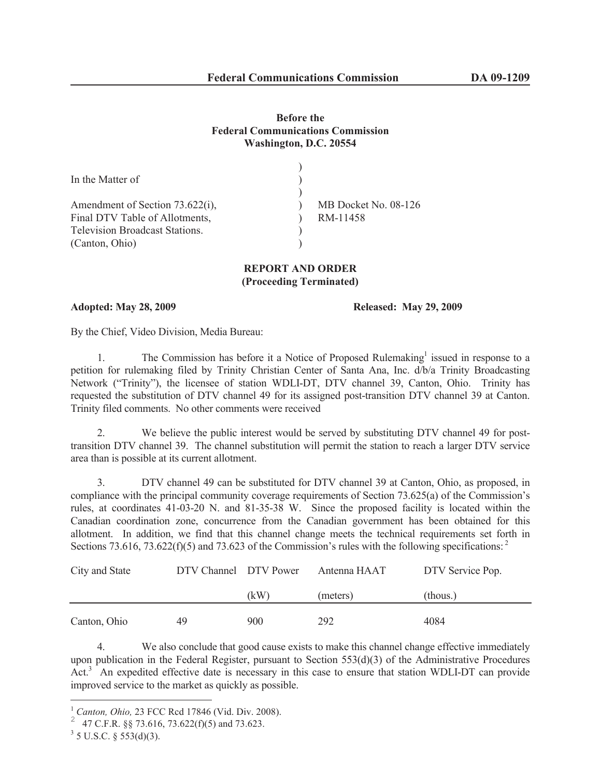## **Before the Federal Communications Commission Washington, D.C. 20554**

| In the Matter of                      |                      |
|---------------------------------------|----------------------|
|                                       |                      |
| Amendment of Section 73.622(i),       | MB Docket No. 08-126 |
| Final DTV Table of Allotments,        | RM-11458             |
| <b>Television Broadcast Stations.</b> |                      |
| (Canton, Ohio)                        |                      |

## **REPORT AND ORDER (Proceeding Terminated)**

**Adopted: May 28, 2009 Released: May 29, 2009**

By the Chief, Video Division, Media Bureau:

1. The Commission has before it a Notice of Proposed Rulemaking<sup>1</sup> issued in response to a petition for rulemaking filed by Trinity Christian Center of Santa Ana, Inc. d/b/a Trinity Broadcasting Network ("Trinity"), the licensee of station WDLI-DT, DTV channel 39, Canton, Ohio. Trinity has requested the substitution of DTV channel 49 for its assigned post-transition DTV channel 39 at Canton. Trinity filed comments. No other comments were received

We believe the public interest would be served by substituting DTV channel 49 for posttransition DTV channel 39. The channel substitution will permit the station to reach a larger DTV service area than is possible at its current allotment.

3. DTV channel 49 can be substituted for DTV channel 39 at Canton, Ohio, as proposed, in compliance with the principal community coverage requirements of Section 73.625(a) of the Commission's rules, at coordinates 41-03-20 N. and 81-35-38 W. Since the proposed facility is located within the Canadian coordination zone, concurrence from the Canadian government has been obtained for this allotment. In addition, we find that this channel change meets the technical requirements set forth in Sections 73.616, 73.622(f)(5) and 73.623 of the Commission's rules with the following specifications:  $2^2$ 

| City and State | DTV Channel DTV Power |      | Antenna HAAT | DTV Service Pop. |
|----------------|-----------------------|------|--------------|------------------|
|                |                       | (kW) | (meters)     | (thous.)         |
| Canton, Ohio   | 49                    | 900  | 292          | 4084             |

4. We also conclude that good cause exists to make this channel change effective immediately upon publication in the Federal Register, pursuant to Section 553(d)(3) of the Administrative Procedures Act.<sup>3</sup> An expedited effective date is necessary in this case to ensure that station WDLI-DT can provide improved service to the market as quickly as possible.

<sup>1</sup> *Canton, Ohio,* 23 FCC Rcd 17846 (Vid. Div. 2008).

<sup>&</sup>lt;sup>2</sup> 47 C.F.R. §§ 73.616, 73.622(f)(5) and 73.623.

 $3$  5 U.S.C. § 553(d)(3).